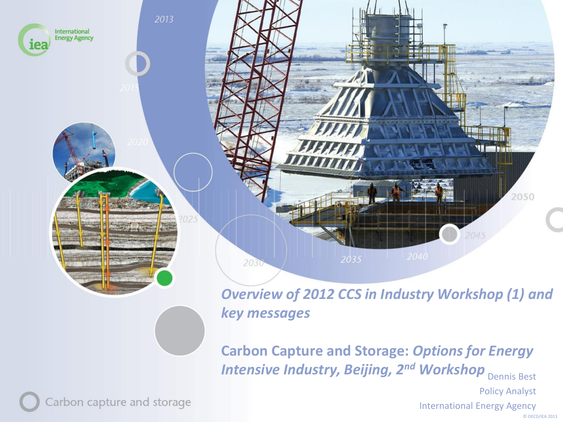

*Overview of 2012 CCS in Industry Workshop (1) and key messages* 

**Carbon Capture and Storage:** *Options for Energy Intensive Industry, Beijing, 2<sup>nd</sup> Workshop* Dennis Best

Policy Analyst

International Energy Agency

Carbon capture and storage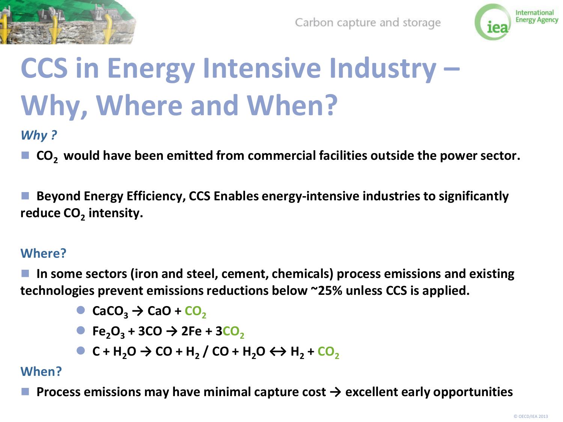



### **CCS in Energy Intensive Industry – Why, Where and When?**

*Why ?*

 **CO2 would have been emitted from commercial facilities outside the power sector.** 

 **Beyond Energy Efficiency, CCS Enables energy-intensive industries to significantly reduce CO<sup>2</sup> intensity.**

#### **Where?**

 **In some sectors (iron and steel, cement, chemicals) process emissions and existing technologies prevent emissions reductions below ~25% unless CCS is applied.**

- $\bullet$  **CaCO**<sub>2</sub>  $\rightarrow$  **CaO** + **CO**<sub>2</sub>
- $\bullet$  **Fe**<sub>2</sub>**O**<sub>3</sub> **+ 3CO**  $\rightarrow$  2Fe **+ 3CO**<sub>2</sub>
- **C** + H<sub>2</sub>**O**  $\rightarrow$  **CO** + H<sub>2</sub></sub> / **CO** + H<sub>2</sub>**O**  $\leftrightarrow$  H<sub>2</sub> + **CO**<sub>2</sub>

#### **When?**

 **Process emissions may have minimal capture cost → excellent early opportunities**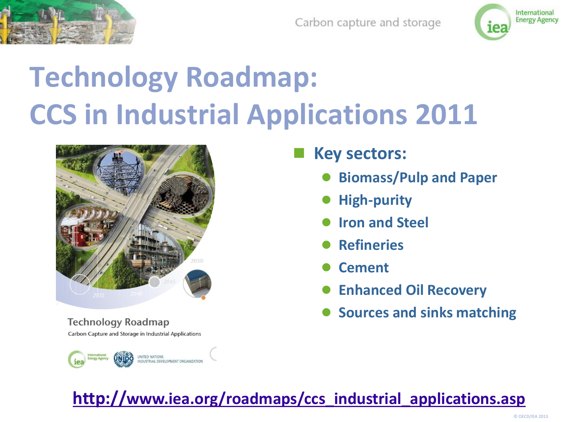



# **Technology Roadmap: CCS in Industrial Applications 2011**



**Technology Roadmap** Carbon Capture and Storage in Industrial Applications



- **Key sectors:**
	- **Biomass/Pulp and Paper**
	- **High-purity**
	- **Iron and Steel**
	- **Refineries**
	- **Cement**
	- **Enhanced Oil Recovery**
	- **Sources and sinks matching**

#### **[http://](http://www.iea.org/roadmaps/ccs_industrial_applications.asp)[www.iea.org/roadmaps/ccs\\_industrial\\_applications.asp](http://www.iea.org/roadmaps/ccs_industrial_applications.asp)**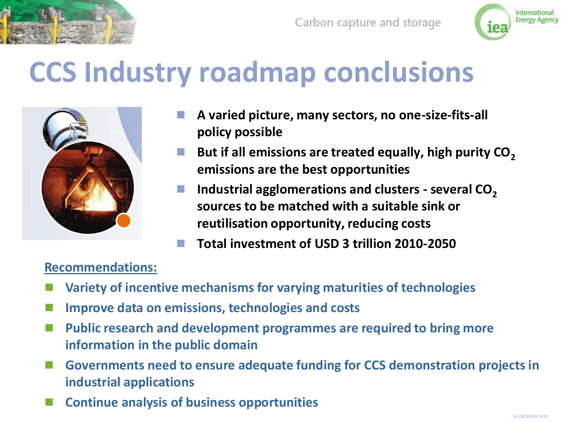



### **CCS Industry roadmap conclusions**



- **A varied picture, many sectors, no one-size-fits-all policy possible**
- But if all emissions are treated equally, high purity CO<sub>2</sub> **emissions are the best opportunities**
- **Industrial agglomerations and clusters - several CO<sup>2</sup> sources to be matched with a suitable sink or reutilisation opportunity, reducing costs**
- **Total investment of USD 3 trillion 2010-2050**

#### **Recommendations:**

- **Variety of incentive mechanisms for varying maturities of technologies**
- **Improve data on emissions, technologies and costs**
- **Public research and development programmes are required to bring more information in the public domain**
- **Governments need to ensure adequate funding for CCS demonstration projects in industrial applications**
- **Continue analysis of business opportunities**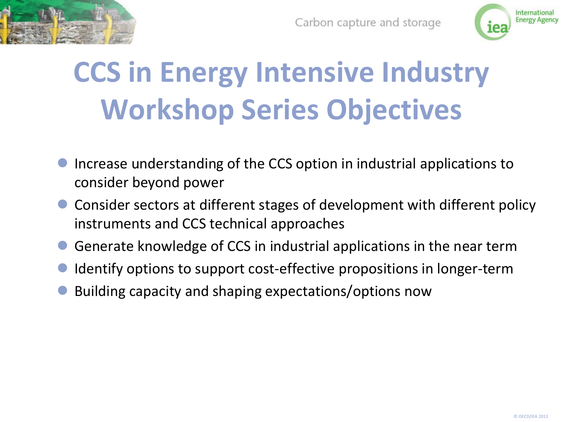



## **CCS in Energy Intensive Industry Workshop Series Objectives**

- Increase understanding of the CCS option in industrial applications to consider beyond power
- Consider sectors at different stages of development with different policy instruments and CCS technical approaches
- Generate knowledge of CCS in industrial applications in the near term
- Identify options to support cost-effective propositions in longer-term
- Building capacity and shaping expectations/options now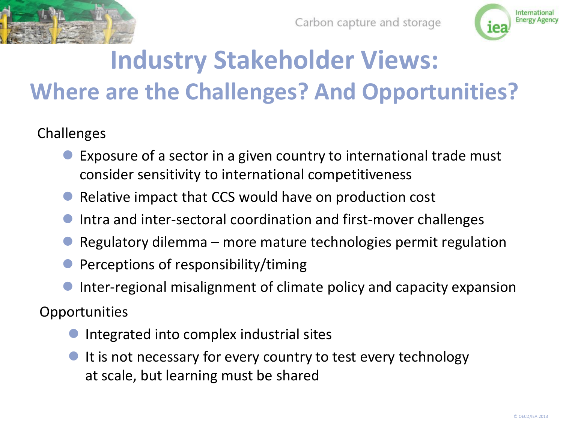



### **Industry Stakeholder Views: Where are the Challenges? And Opportunities?**

#### Challenges

- Exposure of a sector in a given country to international trade must consider sensitivity to international competitiveness
- Relative impact that CCS would have on production cost
- Intra and inter-sectoral coordination and first-mover challenges
- Regulatory dilemma more mature technologies permit regulation
- Perceptions of responsibility/timing
- Inter-regional misalignment of climate policy and capacity expansion

**Opportunities** 

- Integrated into complex industrial sites
- It is not necessary for every country to test every technology at scale, but learning must be shared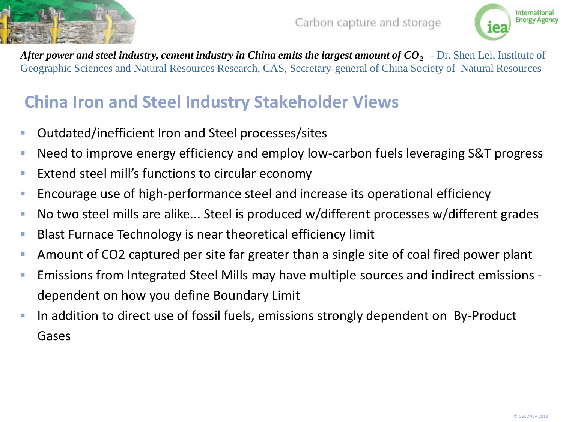



*After power and steel industry, cement industry in China emits the largest amount of CO<sup>2</sup>* - Dr. Shen Lei, Institute of Geographic Sciences and Natural Resources Research, CAS, Secretary-general of China Society of Natural Resources

#### **China Iron and Steel Industry Stakeholder Views**

- Outdated/inefficient Iron and Steel processes/sites
- **Need to improve energy efficiency and employ low-carbon fuels leveraging S&T progress**
- **Extend steel mill's functions to circular economy**
- Encourage use of high-performance steel and increase its operational efficiency
- No two steel mills are alike... Steel is produced w/different processes w/different grades
- Blast Furnace Technology is near theoretical efficiency limit
- Amount of CO2 captured per site far greater than a single site of coal fired power plant
- Emissions from Integrated Steel Mills may have multiple sources and indirect emissions dependent on how you define Boundary Limit
- In addition to direct use of fossil fuels, emissions strongly dependent on By-Product Gases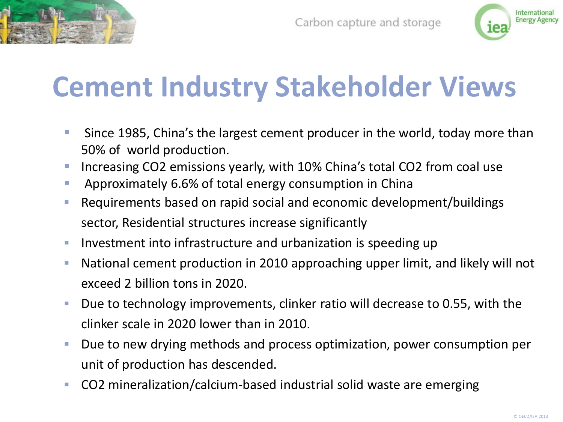



### **Cement Industry Stakeholder Views**

- **Since 1985, China's the largest cement producer in the world, today more than** 50% of world production.
- Increasing CO2 emissions yearly, with 10% China's total CO2 from coal use
- **Approximately 6.6% of total energy consumption in China**
- Requirements based on rapid social and economic development/buildings sector, Residential structures increase significantly
- **Investment into infrastructure and urbanization is speeding up**
- National cement production in 2010 approaching upper limit, and likely will not exceed 2 billion tons in 2020.
- Due to technology improvements, clinker ratio will decrease to 0.55, with the clinker scale in 2020 lower than in 2010.
- **Due to new drying methods and process optimization, power consumption per** unit of production has descended.
- CO2 mineralization/calcium-based industrial solid waste are emerging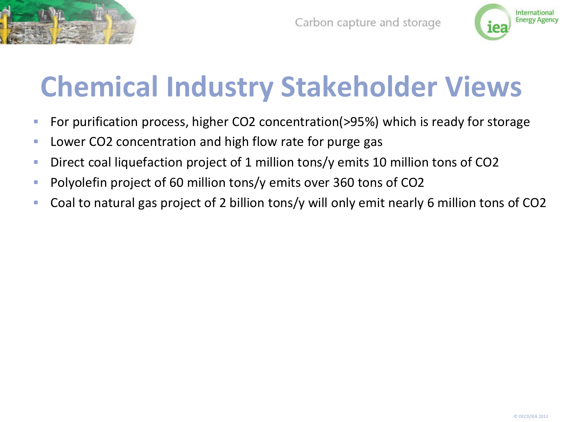



### **Chemical Industry Stakeholder Views**

- For purification process, higher CO2 concentration(>95%) which is ready for storage
- **Lower CO2 concentration and high flow rate for purge gas**
- Direct coal liquefaction project of 1 million tons/y emits 10 million tons of CO2
- **Polyolefin project of 60 million tons/y emits over 360 tons of CO2**
- Coal to natural gas project of 2 billion tons/y will only emit nearly 6 million tons of CO2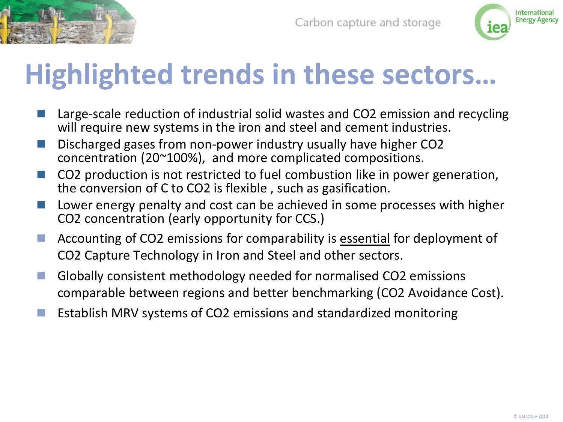



### **Highlighted trends in these sectors…**

- Large-scale reduction of industrial solid wastes and CO2 emission and recycling will require new systems in the iron and steel and cement industries.
- Discharged gases from non-power industry usually have higher CO2 concentration (20~100%), and more complicated compositions.
- CO2 production is not restricted to fuel combustion like in power generation, the conversion of C to CO2 is flexible , such as gasification.
- Lower energy penalty and cost can be achieved in some processes with higher CO2 concentration (early opportunity for CCS.)
- Accounting of CO2 emissions for comparability is essential for deployment of CO2 Capture Technology in Iron and Steel and other sectors.
- Globally consistent methodology needed for normalised CO2 emissions comparable between regions and better benchmarking (CO2 Avoidance Cost).
- Establish MRV systems of CO2 emissions and standardized monitoring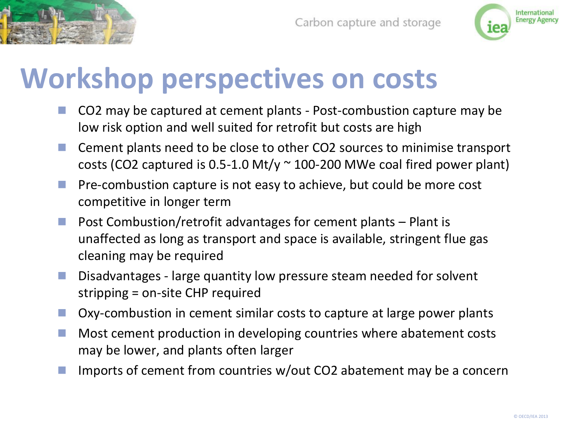



### **Workshop perspectives on costs**

- CO2 may be captured at cement plants Post-combustion capture may be low risk option and well suited for retrofit but costs are high
- Cement plants need to be close to other CO2 sources to minimise transport costs (CO2 captured is  $0.5$ -1.0 Mt/y  $\sim$  100-200 MWe coal fired power plant)
- **Pre-combustion capture is not easy to achieve, but could be more cost** competitive in longer term
- **Post Combustion/retrofit advantages for cement plants Plant is** unaffected as long as transport and space is available, stringent flue gas cleaning may be required
- Disadvantages large quantity low pressure steam needed for solvent stripping = on-site CHP required
- Oxy-combustion in cement similar costs to capture at large power plants
- **Most cement production in developing countries where abatement costs** may be lower, and plants often larger
- Imports of cement from countries w/out CO2 abatement may be a concern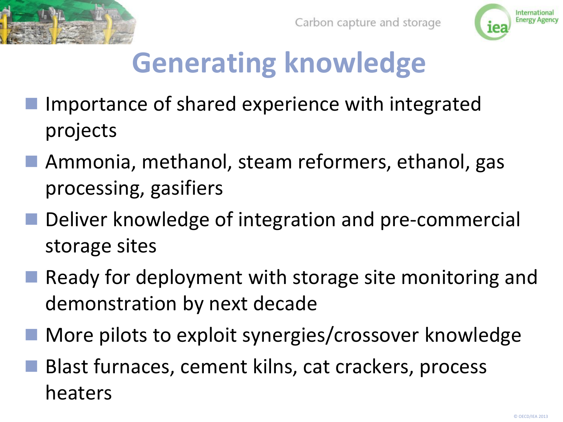



# **Generating knowledge**

- Importance of shared experience with integrated projects
- Ammonia, methanol, steam reformers, ethanol, gas processing, gasifiers
- Deliver knowledge of integration and pre-commercial storage sites
- Ready for deployment with storage site monitoring and demonstration by next decade
- More pilots to exploit synergies/crossover knowledge
- Blast furnaces, cement kilns, cat crackers, process heaters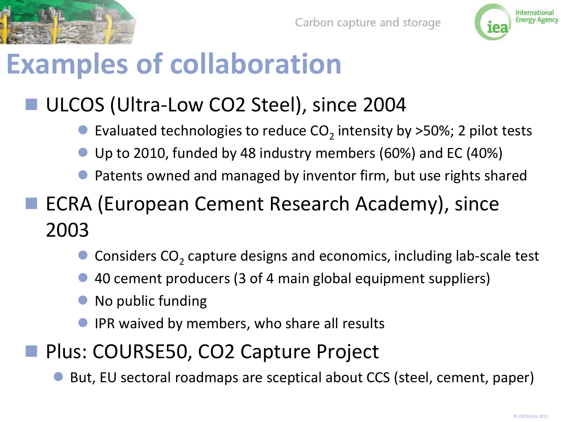



### **Examples of collaboration**

### ULCOS (Ultra‐Low CO2 Steel), since 2004

- $\bullet$  Evaluated technologies to reduce CO<sub>2</sub> intensity by >50%; 2 pilot tests
- Up to 2010, funded by 48 industry members (60%) and EC (40%)
- Patents owned and managed by inventor firm, but use rights shared
- ECRA (European Cement Research Academy), since 2003
	- $\bullet$  Considers CO<sub>2</sub> capture designs and economics, including lab-scale test
	- 40 cement producers (3 of 4 main global equipment suppliers)
	- No public funding
	- IPR waived by members, who share all results
- Plus: COURSE50, CO2 Capture Project
	- But, EU sectoral roadmaps are sceptical about CCS (steel, cement, paper)